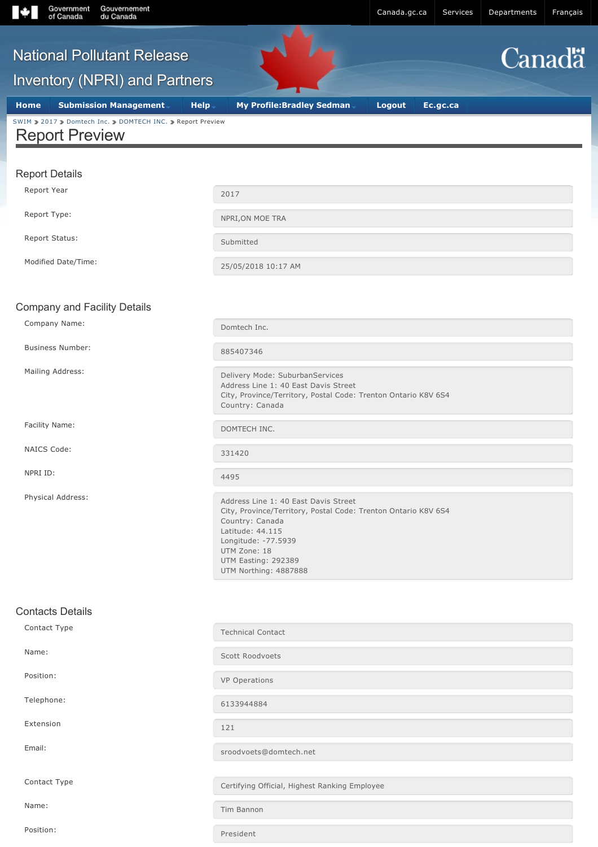

Position: President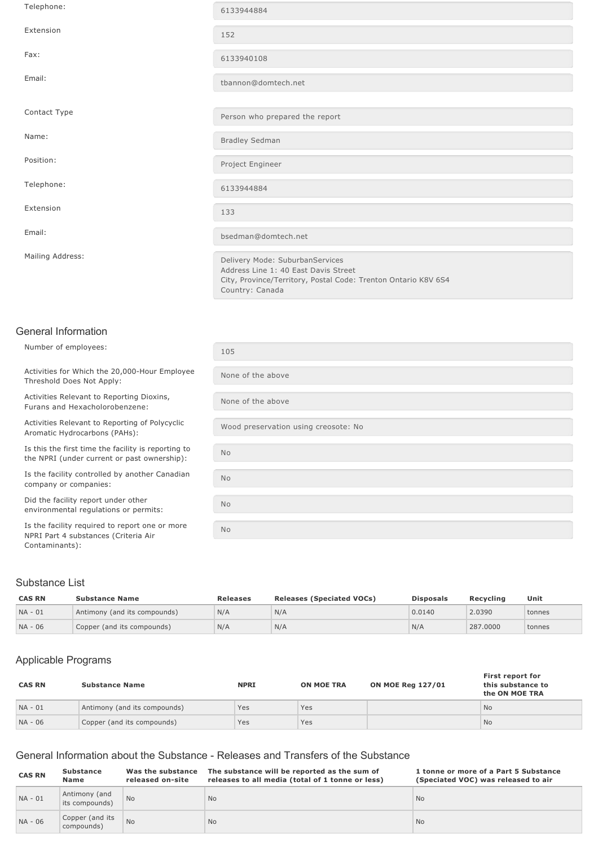| Telephone:       | 6133944884                                                                                                                                |
|------------------|-------------------------------------------------------------------------------------------------------------------------------------------|
| Extension        | 152                                                                                                                                       |
| Fax:             | 6133940108                                                                                                                                |
| Email:           | tbannon@domtech.net                                                                                                                       |
|                  |                                                                                                                                           |
| Contact Type     | Person who prepared the report                                                                                                            |
| Name:            | <b>Bradley Sedman</b>                                                                                                                     |
| Position:        | Project Engineer                                                                                                                          |
| Telephone:       | 6133944884                                                                                                                                |
| Extension        | 133                                                                                                                                       |
| Email:           | bsedman@domtech.net                                                                                                                       |
| Mailing Address: | Delivery Mode: SuburbanServices<br>Address Line 1: 40 East Davis Street<br>City, Province/Territory, Postal Code: Trenton Ontario K8V 6S4 |

Country: Canada

## General Information

Number of employees: 105

Activities for Which the 20,000-Hour Employee Threshold Does Not Apply:

Activities Relevant to Reporting Dioxins, Furans and Hexacholorobenzene:

Activities Relevant to Reporting of Polycyclic Activities Relevant to Reporting of Polycyclic<br>Aromatic Hydrocarbons (PAHs):<br>Nood preservation using creosote: No

Is this the first time the facility is reporting to the NPRI (under current or past ownership):

Is the facility controlled by another Canadian company or companies:

Did the facility report under other environmental regulations or permits:

Is the facility required to report one or more NPRI Part 4 substances (Criteria Air Contaminants):

# None of the above None of the above No No No No

## Substance List

| <b>CAS RN</b> | <b>Substance Name</b>        | <b>Releases</b> | <b>Releases (Speciated VOCs)</b> | <b>Disposals</b> | Recvcling | Unit   |
|---------------|------------------------------|-----------------|----------------------------------|------------------|-----------|--------|
| NA - 01       | Antimony (and its compounds) | N/A             | N/A                              | 0.0140           | 2.0390    | tonnes |
| NA - 06       | Copper (and its compounds)   | N/A             | N/A                              | N/A              | 287,0000  | tonnes |

## Applicable Programs

| <b>CAS RN</b> | <b>Substance Name</b>        | <b>NPRI</b> | <b>ON MOE TRA</b> | <b>ON MOE Reg 127/01</b> | First report for<br>this substance to<br>the ON MOE TRA |
|---------------|------------------------------|-------------|-------------------|--------------------------|---------------------------------------------------------|
| $NA - 01$     | Antimony (and its compounds) | Yes         | Yes               |                          | <b>No</b>                                               |
| NA - 06       | Copper (and its compounds)   | Yes         | Yes               |                          | <b>No</b>                                               |

## General Information about the Substance - Releases and Transfers of the Substance

| <b>CAS RN</b> | <b>Substance</b><br>Name        | Was the substance<br>released on-site | The substance will be reported as the sum of<br>releases to all media (total of 1 tonne or less) | 1 tonne or more of a Part 5 Substance<br>(Speciated VOC) was released to air |
|---------------|---------------------------------|---------------------------------------|--------------------------------------------------------------------------------------------------|------------------------------------------------------------------------------|
| $NA - 01$     | Antimony (and<br>its compounds) | <b>No</b>                             | <b>No</b>                                                                                        | <b>No</b>                                                                    |
| NA - 06       | Copper (and its<br>compounds)   | <b>No</b>                             | <b>No</b>                                                                                        | <b>No</b>                                                                    |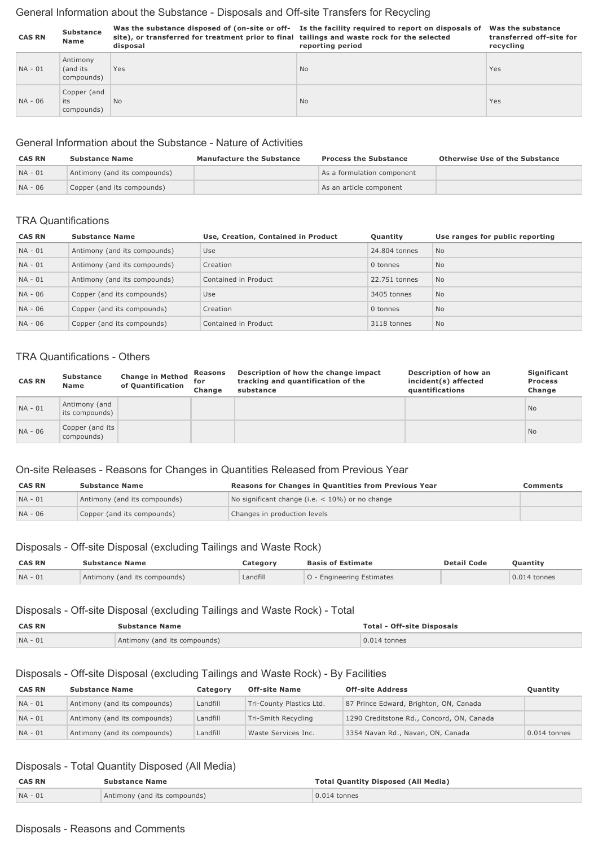## General Information about the Substance - Disposals and Off-site Transfers for Recycling

| <b>CAS RN</b> | <b>Substance</b><br>Name            | site), or transferred for treatment prior to final tailings and waste rock for the selected<br>disposal | Was the substance disposed of (on-site or off- Is the facility required to report on disposals of<br>reporting period | Was the substance<br>transferred off-site for<br>recycling |
|---------------|-------------------------------------|---------------------------------------------------------------------------------------------------------|-----------------------------------------------------------------------------------------------------------------------|------------------------------------------------------------|
| NA - 01       | Antimony<br>(and its)<br>compounds) | Yes                                                                                                     | <b>No</b>                                                                                                             | Yes                                                        |
| $NA - 06$     | Copper (and<br>its<br>compounds)    | <b>No</b>                                                                                               | <b>No</b>                                                                                                             | <b>Yes</b>                                                 |

## General Information about the Substance Nature of Activities

| <b>CAS RN</b> | <b>Substance Name</b>        | <b>Manufacture the Substance</b> | <b>Process the Substance</b> | <b>Otherwise Use of the Substance</b> |
|---------------|------------------------------|----------------------------------|------------------------------|---------------------------------------|
| NA - 01       | Antimony (and its compounds) |                                  | As a formulation component   |                                       |
| $NA - 06$     | Copper (and its compounds)   |                                  | As an article component      |                                       |

#### TRA Quantifications

| <b>CAS RN</b> | <b>Substance Name</b>        | Use, Creation, Contained in Product | Quantity      | Use ranges for public reporting |
|---------------|------------------------------|-------------------------------------|---------------|---------------------------------|
| $NA - 01$     | Antimony (and its compounds) | Use                                 | 24,804 tonnes | <b>No</b>                       |
| $NA - 01$     | Antimony (and its compounds) | Creation                            | 0 tonnes      | <b>No</b>                       |
| $NA - 01$     | Antimony (and its compounds) | Contained in Product                | 22.751 tonnes | <b>No</b>                       |
| NA - 06       | Copper (and its compounds)   | Use                                 | 3405 tonnes   | <b>No</b>                       |
| NA - 06       | Copper (and its compounds)   | Creation                            | 0 tonnes      | <b>No</b>                       |
| NA - 06       | Copper (and its compounds)   | Contained in Product                | 3118 tonnes   | <b>No</b>                       |

## TRA Quantifications - Others

| <b>CAS RN</b> | <b>Substance</b><br>Name        | <b>Change in Method</b><br>of Quantification | Reasons<br>for<br>Change | Description of how the change impact<br>tracking and quantification of the<br>substance | Description of how an<br>incident(s) affected<br>quantifications | Significant<br><b>Process</b><br>Change |
|---------------|---------------------------------|----------------------------------------------|--------------------------|-----------------------------------------------------------------------------------------|------------------------------------------------------------------|-----------------------------------------|
| $NA - 01$     | Antimony (and<br>its compounds) |                                              |                          |                                                                                         |                                                                  | <b>No</b>                               |
| NA - 06       | Copper (and its<br>compounds)   |                                              |                          |                                                                                         |                                                                  | N <sub>o</sub>                          |

# On-site Releases - Reasons for Changes in Quantities Released from Previous Year

| <b>CAS RN</b> | <b>Substance Name</b>        | <b>Reasons for Changes in Quantities from Previous Year</b> | Comments |
|---------------|------------------------------|-------------------------------------------------------------|----------|
| $NA - 01$     | Antimony (and its compounds) | No significant change (i.e. $<$ 10%) or no change           |          |
| $NA - 06$     | Copper (and its compounds)   | Changes in production levels                                |          |

# Disposals - Off-site Disposal (excluding Tailings and Waste Rock)

| <b>CAS RN</b> | <b>Substance Name</b>        | Category | <b>Basis of Estimate</b>         | <b>Detail Code</b> | <b>Ouantity</b> |
|---------------|------------------------------|----------|----------------------------------|--------------------|-----------------|
| $NA - 01$     | Antimony (and its compounds) | Landfill | <b>O</b> - Engineering Estimates |                    | $0.014$ tonnes  |

## Disposals - Off-site Disposal (excluding Tailings and Waste Rock) - Total

| <b>CAS RN</b> | <b>Substance Name</b>        | <b>Total - Off-site Disposals</b> |
|---------------|------------------------------|-----------------------------------|
| $NA - 01$     | Antimony (and its compounds) | $0.014$ tonnes                    |

# Disposals - Off-site Disposal (excluding Tailings and Waste Rock) - By Facilities

| <b>CAS RN</b> | <b>Substance Name</b>        | Category | <b>Off-site Name</b>     | <b>Off-site Address</b>                   | Quantity       |
|---------------|------------------------------|----------|--------------------------|-------------------------------------------|----------------|
| $NA - 01$     | Antimony (and its compounds) | Landfill | Tri-County Plastics Ltd. | 87 Prince Edward, Brighton, ON, Canada    |                |
| $NA - 01$     | Antimony (and its compounds) | Landfill | Tri-Smith Recycling      | 1290 Creditstone Rd., Concord, ON, Canada |                |
| $NA - 01$     | Antimony (and its compounds) | Landfill | Waste Services Inc.      | 3354 Navan Rd., Navan, ON, Canada         | $0.014$ tonnes |

# Disposals - Total Quantity Disposed (All Media)

| <b>CAS RN</b> | <b>Substance Name</b>        | <b>Total Quantity Disposed (All Media)</b> |  |
|---------------|------------------------------|--------------------------------------------|--|
| $NA - 01$     | Antimony (and its compounds) | $0.014$ tonnes                             |  |

## Disposals - Reasons and Comments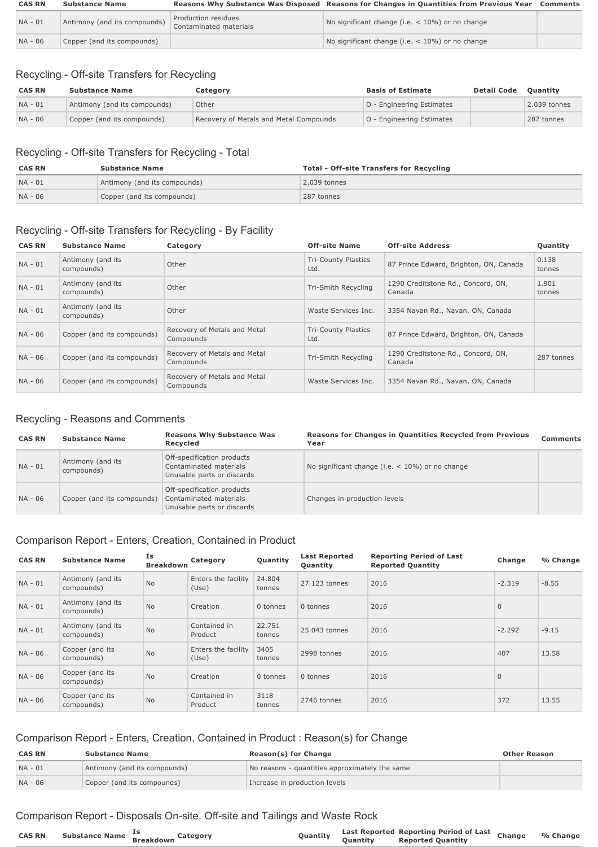| <b>CAS RN</b> | <b>Substance Name</b>        |                                               | Reasons Why Substance Was Disposed Reasons for Changes in Quantities from Previous Year | Comments |
|---------------|------------------------------|-----------------------------------------------|-----------------------------------------------------------------------------------------|----------|
| NA - 01       | Antimony (and its compounds) | Production residues<br>Contaminated materials | No significant change (i.e. $<$ 10%) or no change                                       |          |
| NA - 06       | Copper (and its compounds)   |                                               | No significant change (i.e. $<$ 10%) or no change                                       |          |

# Recycling - Off-site Transfers for Recycling

| <b>CAS RN</b> | <b>Substance Name</b>        | Category                               | <b>Basis of Estimate</b>         | <b>Detail Code</b> | <b>Ouantity</b> |
|---------------|------------------------------|----------------------------------------|----------------------------------|--------------------|-----------------|
| $NA - 01$     | Antimony (and its compounds) | Other                                  | <b>O</b> - Engineering Estimates |                    | 2.039 tonnes    |
| $NA - 06$     | Copper (and its compounds)   | Recovery of Metals and Metal Compounds | <b>O</b> - Engineering Estimates |                    | 287 tonnes      |

# Recycling - Off-site Transfers for Recycling - Total

| <b>CAS RN</b> | <b>Substance Name</b>        | <b>Total - Off-site Transfers for Recycling</b> |
|---------------|------------------------------|-------------------------------------------------|
| NA - 01       | Antimony (and its compounds) | 2.039 tonnes                                    |
| NA - 06       | Copper (and its compounds)   | 287 tonnes                                      |

# Recycling - Off-site Transfers for Recycling - By Facility

| <b>CAS RN</b> | <b>Substance Name</b>           | Category                                  | <b>Off-site Name</b>               | <b>Off-site Address</b>                      | Quantity        |
|---------------|---------------------------------|-------------------------------------------|------------------------------------|----------------------------------------------|-----------------|
| $NA - 01$     | Antimony (and its<br>compounds) | Other                                     | <b>Tri-County Plastics</b><br>Ltd. | 87 Prince Edward, Brighton, ON, Canada       | 0.138<br>tonnes |
| $NA - 01$     | Antimony (and its<br>compounds) | Other                                     | Tri-Smith Recycling                | 1290 Creditstone Rd., Concord, ON,<br>Canada | 1.901<br>tonnes |
| $NA - 01$     | Antimony (and its<br>compounds) | Other                                     | Waste Services Inc.                | 3354 Navan Rd., Navan, ON, Canada            |                 |
| NA - 06       | Copper (and its compounds)      | Recovery of Metals and Metal<br>Compounds | <b>Tri-County Plastics</b><br>Ltd. | 87 Prince Edward, Brighton, ON, Canada       |                 |
| NA - 06       | Copper (and its compounds)      | Recovery of Metals and Metal<br>Compounds | Tri-Smith Recycling                | 1290 Creditstone Rd., Concord, ON,<br>Canada | 287 tonnes      |
| NA - 06       | Copper (and its compounds)      | Recovery of Metals and Metal<br>Compounds | Waste Services Inc.                | 3354 Navan Rd., Navan, ON, Canada            |                 |

# Recycling - Reasons and Comments

| <b>CAS RN</b> | <b>Substance Name</b>           | <b>Reasons Why Substance Was</b><br>Recycled                                       | Reasons for Changes in Quantities Recycled from Previous<br>Year | Comments |
|---------------|---------------------------------|------------------------------------------------------------------------------------|------------------------------------------------------------------|----------|
| $NA - 01$     | Antimony (and its<br>compounds) | Off-specification products<br>Contaminated materials<br>Unusable parts or discards | No significant change (i.e. $<$ 10%) or no change                |          |
| NA - 06       | Copper (and its compounds)      | Off-specification products<br>Contaminated materials<br>Unusable parts or discards | Changes in production levels                                     |          |

# Comparison Report - Enters, Creation, Contained in Product

| <b>CAS RN</b> | <b>Substance Name</b>           | Is<br><b>Breakdown</b> | Category                     | Quantity         | <b>Last Reported</b><br>Quantity | <b>Reporting Period of Last</b><br><b>Reported Quantity</b> | Change       | % Change |
|---------------|---------------------------------|------------------------|------------------------------|------------------|----------------------------------|-------------------------------------------------------------|--------------|----------|
| NA - 01       | Antimony (and its<br>compounds) | <b>No</b>              | Enters the facility<br>(Use) | 24.804<br>tonnes | 27.123 tonnes                    | 2016                                                        | $-2.319$     | $-8.55$  |
| $NA - 01$     | Antimony (and its<br>compounds) | <b>No</b>              | Creation                     | 0 tonnes         | 0 tonnes                         | 2016                                                        | $\mathbf{0}$ |          |
| $NA - 01$     | Antimony (and its<br>compounds) | <b>No</b>              | Contained in<br>Product      | 22.751<br>tonnes | 25.043 tonnes                    | 2016                                                        | $-2.292$     | $-9.15$  |
| NA - 06       | Copper (and its<br>compounds)   | <b>No</b>              | Enters the facility<br>(Use) | 3405<br>tonnes   | 2998 tonnes                      | 2016                                                        | 407          | 13.58    |
| NA - 06       | Copper (and its<br>compounds)   | <b>No</b>              | Creation                     | 0 tonnes         | 0 tonnes                         | 2016                                                        | $\mathbf{0}$ |          |
| NA - 06       | Copper (and its<br>compounds)   | No                     | Contained in<br>Product      | 3118<br>tonnes   | 2746 tonnes                      | 2016                                                        | 372          | 13.55    |

# Comparison Report - Enters, Creation, Contained in Product : Reason(s) for Change

| <b>CAS RN</b> | <b>Substance Name</b>        | Reason(s) for Change                           | <b>Other Reason</b> |
|---------------|------------------------------|------------------------------------------------|---------------------|
| NA - 01       | Antimony (and its compounds) | No reasons - quantities approximately the same |                     |
| $NA - 06$     | Copper (and its compounds)   | Increase in production levels                  |                     |

# Comparison Report - Disposals On-site, Off-site and Tailings and Waste Rock

| Substance Name <sup>Is</sup><br>Breakdown<br><b>CAS RN</b><br>Quantity<br>Category | Last Reported Reporting Period of Last Change<br>% Change<br><b>Quantity</b> Reported Quantity |
|------------------------------------------------------------------------------------|------------------------------------------------------------------------------------------------|
|------------------------------------------------------------------------------------|------------------------------------------------------------------------------------------------|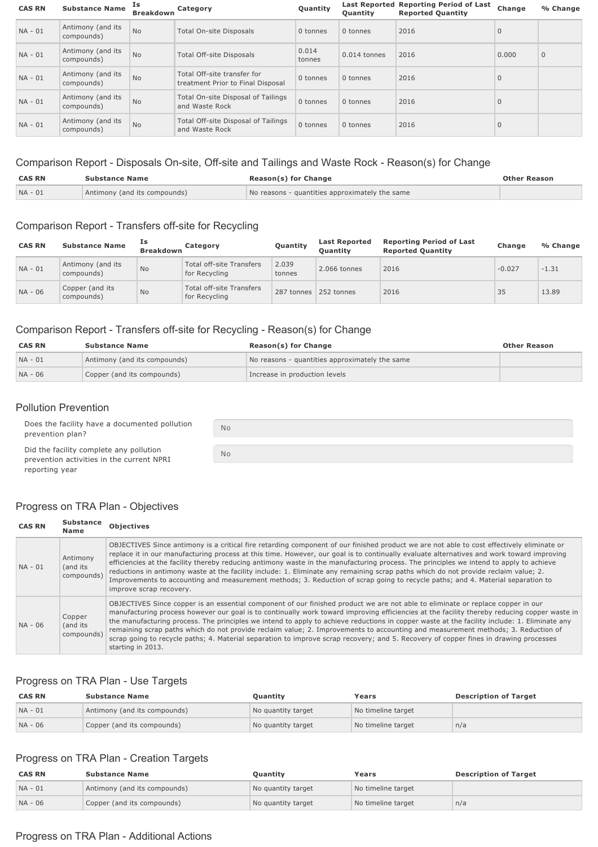| <b>CAS RN</b> | <b>Substance Name</b>           | Is<br><b>Breakdown</b> | Category                                                         | Quantity        | <b>Ouantity</b> | Last Reported Reporting Period of Last<br><b>Reported Quantity</b> | Change       | % Change     |
|---------------|---------------------------------|------------------------|------------------------------------------------------------------|-----------------|-----------------|--------------------------------------------------------------------|--------------|--------------|
| $NA - 01$     | Antimony (and its<br>compounds) | <b>No</b>              | <b>Total On-site Disposals</b>                                   | 0 tonnes        | 0 tonnes        | 2016                                                               | $\mathbf{0}$ |              |
| $NA - 01$     | Antimony (and its<br>compounds) | <b>No</b>              | Total Off-site Disposals                                         | 0.014<br>tonnes | $0.014$ tonnes  | 2016                                                               | 0.000        | $\mathbf{0}$ |
| $NA - 01$     | Antimony (and its<br>compounds) | <b>No</b>              | Total Off-site transfer for<br>treatment Prior to Final Disposal | 0 tonnes        | 0 tonnes        | 2016                                                               | $\mathbf{0}$ |              |
| $NA - 01$     | Antimony (and its<br>compounds) | <b>No</b>              | Total On-site Disposal of Tailings<br>and Waste Rock             | 0 tonnes        | 0 tonnes        | 2016                                                               | $\mathbf{0}$ |              |
| $NA - 01$     | Antimony (and its<br>compounds) | <b>No</b>              | Total Off-site Disposal of Tailings<br>and Waste Rock            | 0 tonnes        | 0 tonnes        | 2016                                                               | $\mathbf{0}$ |              |

# Comparison Report - Disposals On-site, Off-site and Tailings and Waste Rock - Reason(s) for Change

| <b>CAS RN</b> | <b>Substance Name</b>        | Reason(s) for Change                           | <b>Other Reason</b> |  |
|---------------|------------------------------|------------------------------------------------|---------------------|--|
| $NA - 01$     | Antimony (and its compounds) | No reasons - quantities approximately the same |                     |  |

# Comparison Report - Transfers off-site for Recycling

| <b>CAS RN</b> | <b>Substance Name</b>           | Is<br><b>Breakdown</b> | Category                                         | Quantity        | <b>Last Reported</b><br><b>Ouantity</b> | <b>Reporting Period of Last</b><br><b>Reported Quantity</b> | Change   | % Change |
|---------------|---------------------------------|------------------------|--------------------------------------------------|-----------------|-----------------------------------------|-------------------------------------------------------------|----------|----------|
| $NA - 01$     | Antimony (and its<br>compounds) | <b>No</b>              | <b>Total off-site Transfers</b><br>for Recycling | 2.039<br>tonnes | 2.066 tonnes                            | 2016                                                        | $-0.027$ | $-1.31$  |
| NA - 06       | Copper (and its<br>compounds)   | <b>No</b>              | <b>Total off-site Transfers</b><br>for Recycling |                 | 287 tonnes 252 tonnes                   | 2016                                                        | 35       | 13.89    |

# Comparison Report - Transfers off-site for Recycling - Reason(s) for Change

No

No

| <b>CAS RN</b> | <b>Substance Name</b>        | Reason(s) for Change                           | <b>Other Reason</b> |
|---------------|------------------------------|------------------------------------------------|---------------------|
| $NA - 01$     | Antimony (and its compounds) | No reasons - quantities approximately the same |                     |
| NA - 06       | Copper (and its compounds)   | Increase in production levels                  |                     |

## Pollution Prevention

Does the facility have a documented pollution prevention plan?

Did the facility complete any pollution prevention activities in the current NPRI reporting year

## Progress on TRA Plan - Objectives

| <b>CAS RN</b> | <b>Substance</b><br>Name           | <b>Objectives</b>                                                                                                                                                                                                                                                                                                                                                                                                                                                                                                                                                                                                                                                                                                                      |
|---------------|------------------------------------|----------------------------------------------------------------------------------------------------------------------------------------------------------------------------------------------------------------------------------------------------------------------------------------------------------------------------------------------------------------------------------------------------------------------------------------------------------------------------------------------------------------------------------------------------------------------------------------------------------------------------------------------------------------------------------------------------------------------------------------|
| $NA - 01$     | Antimony<br>(and its<br>compounds) | OBJECTIVES Since antimony is a critical fire retarding component of our finished product we are not able to cost effectively eliminate or<br>replace it in our manufacturing process at this time. However, our goal is to continually evaluate alternatives and work toward improving<br>efficiencies at the facility thereby reducing antimony waste in the manufacturing process. The principles we intend to apply to achieve<br>reductions in antimony waste at the facility include: 1. Eliminate any remaining scrap paths which do not provide reclaim value; 2.<br>Improvements to accounting and measurement methods; 3. Reduction of scrap going to recycle paths; and 4. Material separation to<br>improve scrap recovery. |
| NA - 06       | Copper<br>(and its<br>compounds)   | OBJECTIVES Since copper is an essential component of our finished product we are not able to eliminate or replace copper in our<br>manufacturing process however our goal is to continually work toward improving efficiencies at the facility thereby reducing copper waste in<br>the manufacturing process. The principles we intend to apply to achieve reductions in copper waste at the facility include: 1. Eliminate any<br>remaining scrap paths which do not provide reclaim value; 2. Improvements to accounting and measurement methods; 3. Reduction of<br>scrap going to recycle paths; 4. Material separation to improve scrap recovery; and 5. Recovery of copper fines in drawing processes<br>starting in 2013.       |

## Progress on TRA Plan - Use Targets

| <b>CAS RN</b> | <b>Substance Name</b>        | <b>Ouantity</b>    | Years              | <b>Description of Target</b> |
|---------------|------------------------------|--------------------|--------------------|------------------------------|
| $NA - 01$     | Antimony (and its compounds) | No quantity target | No timeline target |                              |
| NA - 06       | Copper (and its compounds)   | No quantity target | No timeline target | n/a                          |

# Progress on TRA Plan - Creation Targets

| <b>CAS RN</b> | <b>Substance Name</b>        | <b>Ouantity</b>    | Years              | <b>Description of Target</b> |
|---------------|------------------------------|--------------------|--------------------|------------------------------|
| $NA - 01$     | Antimony (and its compounds) | No quantity target | No timeline target |                              |
| $NA - 06$     | Copper (and its compounds)   | No quantity target | No timeline target | n/a                          |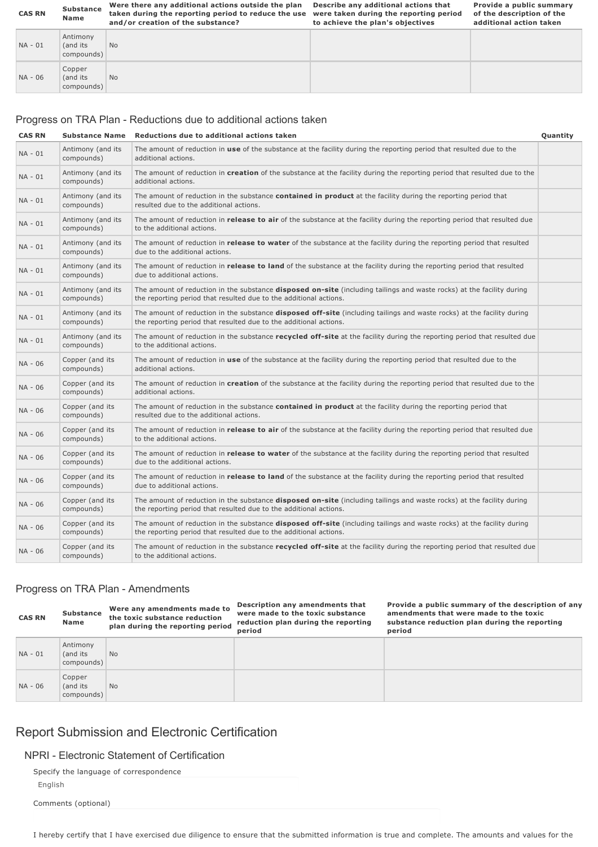| <b>CAS RN</b> | <b>Substance</b><br>Name           | Were there any additional actions outside the plan<br>taken during the reporting period to reduce the use<br>and/or creation of the substance? | Describe any additional actions that<br>were taken during the reporting period<br>to achieve the plan's objectives | Provide a public summary<br>of the description of the<br>additional action taken |
|---------------|------------------------------------|------------------------------------------------------------------------------------------------------------------------------------------------|--------------------------------------------------------------------------------------------------------------------|----------------------------------------------------------------------------------|
| NA - 01       | Antimony<br>(and its<br>compounds) | <b>No</b>                                                                                                                                      |                                                                                                                    |                                                                                  |
| NA - 06       | Copper<br>(and its<br>compounds)   | <b>No</b>                                                                                                                                      |                                                                                                                    |                                                                                  |

# Progress on TRA Plan - Reductions due to additional actions taken

## **CAS RN Substance Name** Reductions due to additional actions taken **CAS RN CAS RN CUALITY Quantity**

| NA - 01   | Antimony (and its<br>compounds) | The amount of reduction in use of the substance at the facility during the reporting period that resulted due to the<br>additional actions.                                                        |  |
|-----------|---------------------------------|----------------------------------------------------------------------------------------------------------------------------------------------------------------------------------------------------|--|
| NA - 01   | Antimony (and its<br>compounds) | The amount of reduction in creation of the substance at the facility during the reporting period that resulted due to the<br>additional actions.                                                   |  |
| NA - 01   | Antimony (and its<br>compounds) | The amount of reduction in the substance contained in product at the facility during the reporting period that<br>resulted due to the additional actions.                                          |  |
| NA - 01   | Antimony (and its<br>compounds) | The amount of reduction in release to air of the substance at the facility during the reporting period that resulted due<br>to the additional actions.                                             |  |
| $NA - 01$ | Antimony (and its<br>compounds) | The amount of reduction in release to water of the substance at the facility during the reporting period that resulted<br>due to the additional actions.                                           |  |
| $NA - 01$ | Antimony (and its<br>compounds) | The amount of reduction in release to land of the substance at the facility during the reporting period that resulted<br>due to additional actions.                                                |  |
| NA - 01   | Antimony (and its<br>compounds) | The amount of reduction in the substance <b>disposed on-site</b> (including tailings and waste rocks) at the facility during<br>the reporting period that resulted due to the additional actions.  |  |
| NA - 01   | Antimony (and its<br>compounds) | The amount of reduction in the substance <b>disposed off-site</b> (including tailings and waste rocks) at the facility during<br>the reporting period that resulted due to the additional actions. |  |
| NA - 01   | Antimony (and its<br>compounds) | The amount of reduction in the substance recycled off-site at the facility during the reporting period that resulted due<br>to the additional actions.                                             |  |
| NA - 06   | Copper (and its<br>compounds)   | The amount of reduction in use of the substance at the facility during the reporting period that resulted due to the<br>additional actions.                                                        |  |
| NA - 06   | Copper (and its<br>compounds)   | The amount of reduction in creation of the substance at the facility during the reporting period that resulted due to the<br>additional actions.                                                   |  |
| NA - 06   | Copper (and its<br>compounds)   | The amount of reduction in the substance contained in product at the facility during the reporting period that<br>resulted due to the additional actions.                                          |  |
| NA - 06   | Copper (and its<br>compounds)   | The amount of reduction in <b>release to air</b> of the substance at the facility during the reporting period that resulted due<br>to the additional actions.                                      |  |
| NA - 06   | Copper (and its<br>compounds)   | The amount of reduction in release to water of the substance at the facility during the reporting period that resulted<br>due to the additional actions.                                           |  |
| NA - 06   | Copper (and its<br>compounds)   | The amount of reduction in release to land of the substance at the facility during the reporting period that resulted<br>due to additional actions.                                                |  |
| NA - 06   | Copper (and its<br>compounds)   | The amount of reduction in the substance <b>disposed on-site</b> (including tailings and waste rocks) at the facility during<br>the reporting period that resulted due to the additional actions.  |  |
| NA - 06   | Copper (and its<br>compounds)   | The amount of reduction in the substance <b>disposed off-site</b> (including tailings and waste rocks) at the facility during<br>the reporting period that resulted due to the additional actions. |  |
| NA - 06   | Copper (and its<br>compounds)   | The amount of reduction in the substance <b>recycled off-site</b> at the facility during the reporting period that resulted due<br>to the additional actions.                                      |  |

# Progress on TRA Plan - Amendments

| <b>CAS RN</b> | <b>Substance</b><br><b>Name</b>    | Were any amendments made to<br>the toxic substance reduction<br>plan during the reporting period | Description any amendments that<br>were made to the toxic substance<br>reduction plan during the reporting<br>period | Provide a public summary of the description of any<br>amendments that were made to the toxic<br>substance reduction plan during the reporting<br>period |
|---------------|------------------------------------|--------------------------------------------------------------------------------------------------|----------------------------------------------------------------------------------------------------------------------|---------------------------------------------------------------------------------------------------------------------------------------------------------|
| NA - 01       | Antimony<br>(and its<br>compounds) | <b>No</b>                                                                                        |                                                                                                                      |                                                                                                                                                         |
| NA - 06       | Copper<br>(and its<br>compounds)   | <b>No</b>                                                                                        |                                                                                                                      |                                                                                                                                                         |

# Report Submission and Electronic Certification

# NPRI - Electronic Statement of Certification

|  |  | Specify the language of correspondence |
|--|--|----------------------------------------|
|  |  |                                        |

English

Comments (optional)

I hereby certify that I have exercised due diligence to ensure that the submitted information is true and complete. The amounts and values for the